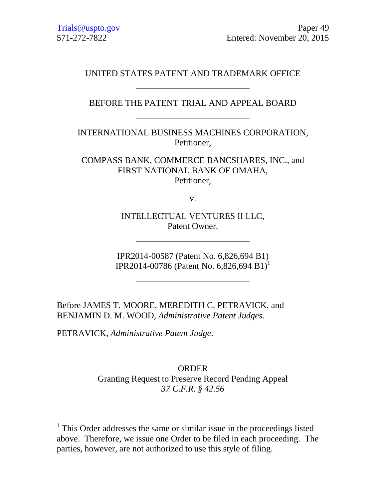## UNITED STATES PATENT AND TRADEMARK OFFICE

BEFORE THE PATENT TRIAL AND APPEAL BOARD

INTERNATIONAL BUSINESS MACHINES CORPORATION, Petitioner,

COMPASS BANK, COMMERCE BANCSHARES, INC., and FIRST NATIONAL BANK OF OMAHA, Petitioner,

v.

INTELLECTUAL VENTURES II LLC, Patent Owner.

IPR2014-00587 (Patent No. 6,826,694 B1) IPR2014-00786 (Patent No. 6,826,694 B1)<sup>1</sup>

Before JAMES T. MOORE, MEREDITH C. PETRAVICK, and BENJAMIN D. M. WOOD, *Administrative Patent Judges.*

PETRAVICK, *Administrative Patent Judge*.

 $\overline{a}$ 

ORDER Granting Request to Preserve Record Pending Appeal *37 C.F.R. § 42.56*

<sup>&</sup>lt;sup>1</sup> This Order addresses the same or similar issue in the proceedings listed above. Therefore, we issue one Order to be filed in each proceeding. The parties, however, are not authorized to use this style of filing.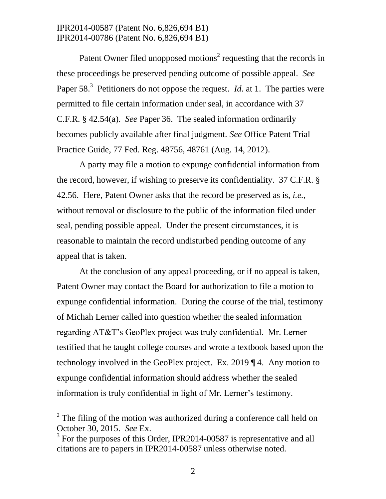IPR2014-00587 (Patent No. 6,826,694 B1) IPR2014-00786 (Patent No. 6,826,694 B1)

Patent Owner filed unopposed motions<sup>2</sup> requesting that the records in these proceedings be preserved pending outcome of possible appeal. *See*  Paper 58.<sup>3</sup> Petitioners do not oppose the request. *Id.* at 1. The parties were permitted to file certain information under seal, in accordance with 37 C.F.R. § 42.54(a). *See* Paper 36. The sealed information ordinarily becomes publicly available after final judgment. *See* Office Patent Trial Practice Guide, 77 Fed. Reg. 48756, 48761 (Aug. 14, 2012).

A party may file a motion to expunge confidential information from the record, however, if wishing to preserve its confidentiality. 37 C.F.R. § 42.56. Here, Patent Owner asks that the record be preserved as is, *i.e.,* without removal or disclosure to the public of the information filed under seal, pending possible appeal. Under the present circumstances, it is reasonable to maintain the record undisturbed pending outcome of any appeal that is taken.

At the conclusion of any appeal proceeding, or if no appeal is taken, Patent Owner may contact the Board for authorization to file a motion to expunge confidential information. During the course of the trial, testimony of Michah Lerner called into question whether the sealed information regarding AT&T's GeoPlex project was truly confidential. Mr. Lerner testified that he taught college courses and wrote a textbook based upon the technology involved in the GeoPlex project. Ex. 2019 ¶ 4. Any motion to expunge confidential information should address whether the sealed information is truly confidential in light of Mr. Lerner's testimony.

 $\overline{a}$ 

 $2^2$  The filing of the motion was authorized during a conference call held on October 30, 2015. *See* Ex.

 $3$  For the purposes of this Order, IPR2014-00587 is representative and all citations are to papers in IPR2014-00587 unless otherwise noted.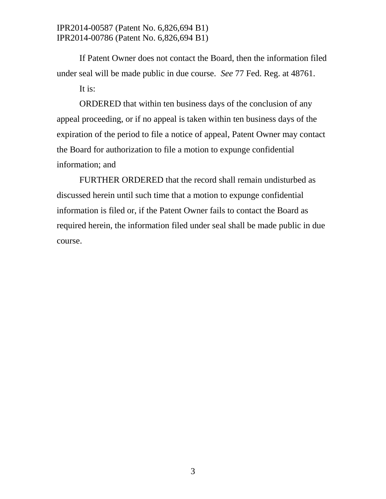IPR2014-00587 (Patent No. 6,826,694 B1) IPR2014-00786 (Patent No. 6,826,694 B1)

If Patent Owner does not contact the Board, then the information filed under seal will be made public in due course. *See* 77 Fed. Reg. at 48761.

It is:

ORDERED that within ten business days of the conclusion of any appeal proceeding, or if no appeal is taken within ten business days of the expiration of the period to file a notice of appeal, Patent Owner may contact the Board for authorization to file a motion to expunge confidential information; and

FURTHER ORDERED that the record shall remain undisturbed as discussed herein until such time that a motion to expunge confidential information is filed or, if the Patent Owner fails to contact the Board as required herein, the information filed under seal shall be made public in due course.